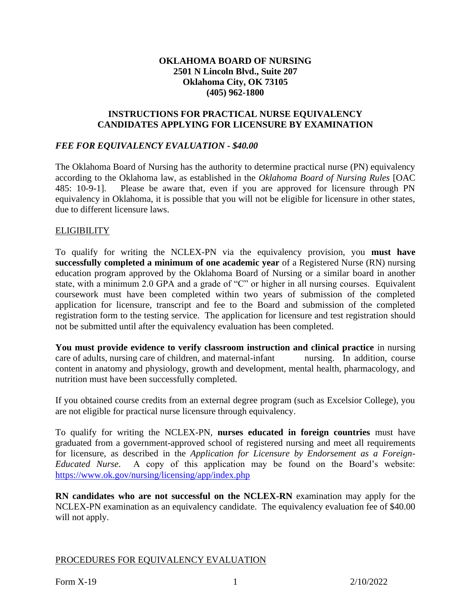## **OKLAHOMA BOARD OF NURSING 2501 N Lincoln Blvd., Suite 207 Oklahoma City, OK 73105 (405) 962-1800**

### **INSTRUCTIONS FOR PRACTICAL NURSE EQUIVALENCY CANDIDATES APPLYING FOR LICENSURE BY EXAMINATION**

## *FEE FOR EQUIVALENCY EVALUATION - \$40.00*

The Oklahoma Board of Nursing has the authority to determine practical nurse (PN) equivalency according to the Oklahoma law, as established in the *Oklahoma Board of Nursing Rules* [OAC 485: 10-9-1]. Please be aware that, even if you are approved for licensure through PN equivalency in Oklahoma, it is possible that you will not be eligible for licensure in other states, due to different licensure laws.

### **ELIGIBILITY**

To qualify for writing the NCLEX-PN via the equivalency provision, you **must have successfully completed a minimum of one academic year** of a Registered Nurse (RN) nursing education program approved by the Oklahoma Board of Nursing or a similar board in another state, with a minimum 2.0 GPA and a grade of "C" or higher in all nursing courses. Equivalent coursework must have been completed within two years of submission of the completed application for licensure, transcript and fee to the Board and submission of the completed registration form to the testing service. The application for licensure and test registration should not be submitted until after the equivalency evaluation has been completed.

**You must provide evidence to verify classroom instruction and clinical practice** in nursing care of adults, nursing care of children, and maternal-infant nursing. In addition, course content in anatomy and physiology, growth and development, mental health, pharmacology, and nutrition must have been successfully completed.

If you obtained course credits from an external degree program (such as Excelsior College), you are not eligible for practical nurse licensure through equivalency.

To qualify for writing the NCLEX-PN, **nurses educated in foreign countries** must have graduated from a government-approved school of registered nursing and meet all requirements for licensure, as described in the *Application for Licensure by Endorsement as a Foreign-Educated Nurse*. A copy of this application may be found on the Board's website: <https://www.ok.gov/nursing/licensing/app/index.php>

**RN candidates who are not successful on the NCLEX-RN** examination may apply for the NCLEX-PN examination as an equivalency candidate. The equivalency evaluation fee of \$40.00 will not apply.

#### PROCEDURES FOR EQUIVALENCY EVALUATION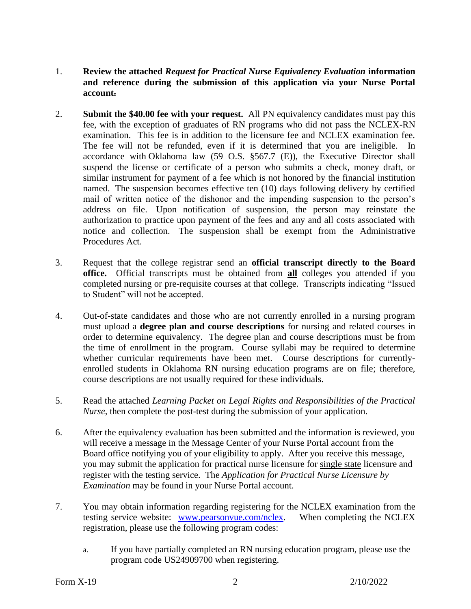- 1. **Review the attached** *Request for Practical Nurse Equivalency Evaluation* **information and reference during the submission of this application via your Nurse Portal account.**
- 2. **Submit the \$40.00 fee with your request.** All PN equivalency candidates must pay this fee, with the exception of graduates of RN programs who did not pass the NCLEX-RN examination. This fee is in addition to the licensure fee and NCLEX examination fee. The fee will not be refunded, even if it is determined that you are ineligible. In accordance with Oklahoma law (59 O.S. §567.7 (E)), the Executive Director shall suspend the license or certificate of a person who submits a check, money draft, or similar instrument for payment of a fee which is not honored by the financial institution named. The suspension becomes effective ten (10) days following delivery by certified mail of written notice of the dishonor and the impending suspension to the person's address on file. Upon notification of suspension, the person may reinstate the authorization to practice upon payment of the fees and any and all costs associated with notice and collection. The suspension shall be exempt from the Administrative Procedures Act.
- 3. Request that the college registrar send an **official transcript directly to the Board office.** Official transcripts must be obtained from **all** colleges you attended if you completed nursing or pre-requisite courses at that college. Transcripts indicating "Issued to Student" will not be accepted.
- 4. Out-of-state candidates and those who are not currently enrolled in a nursing program must upload a **degree plan and course descriptions** for nursing and related courses in order to determine equivalency. The degree plan and course descriptions must be from the time of enrollment in the program. Course syllabi may be required to determine whether curricular requirements have been met. Course descriptions for currentlyenrolled students in Oklahoma RN nursing education programs are on file; therefore, course descriptions are not usually required for these individuals.
- 5. Read the attached *Learning Packet on Legal Rights and Responsibilities of the Practical Nurse*, then complete the post-test during the submission of your application.
- 6. After the equivalency evaluation has been submitted and the information is reviewed, you will receive a message in the Message Center of your Nurse Portal account from the Board office notifying you of your eligibility to apply. After you receive this message, you may submit the application for practical nurse licensure for single state licensure and register with the testing service. The *Application for Practical Nurse Licensure by Examination* may be found in your Nurse Portal account.
- 7. You may obtain information regarding registering for the NCLEX examination from the testing service website: [www.pearsonvue.com/nclex.](http://www.pearsonvue.com/nclex) When completing the NCLEX registration, please use the following program codes:
	- a. If you have partially completed an RN nursing education program, please use the program code US24909700 when registering.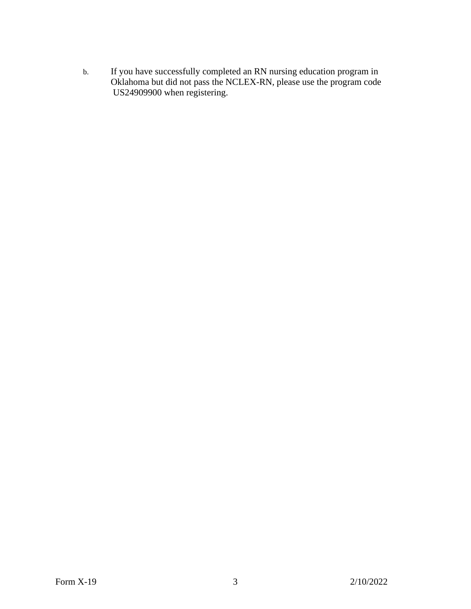b. If you have successfully completed an RN nursing education program in Oklahoma but did not pass the NCLEX-RN, please use the program code US24909900 when registering.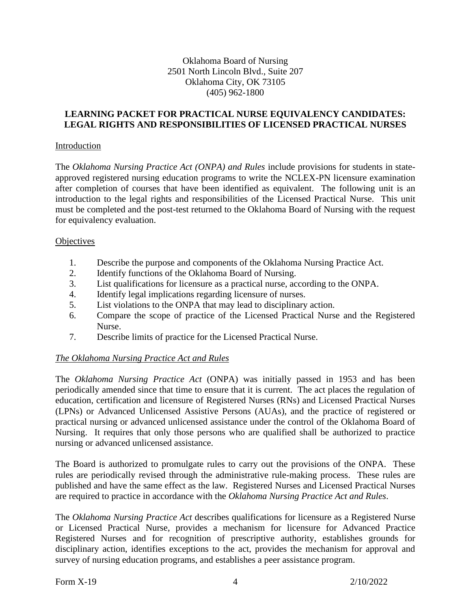## Oklahoma Board of Nursing 2501 North Lincoln Blvd., Suite 207 Oklahoma City, OK 73105 (405) 962-1800

### **LEARNING PACKET FOR PRACTICAL NURSE EQUIVALENCY CANDIDATES: LEGAL RIGHTS AND RESPONSIBILITIES OF LICENSED PRACTICAL NURSES**

#### Introduction

The *Oklahoma Nursing Practice Act (ONPA) and Rules* include provisions for students in stateapproved registered nursing education programs to write the NCLEX-PN licensure examination after completion of courses that have been identified as equivalent. The following unit is an introduction to the legal rights and responsibilities of the Licensed Practical Nurse. This unit must be completed and the post-test returned to the Oklahoma Board of Nursing with the request for equivalency evaluation.

#### **Objectives**

- 1. Describe the purpose and components of the Oklahoma Nursing Practice Act.
- 2. Identify functions of the Oklahoma Board of Nursing.
- 3. List qualifications for licensure as a practical nurse, according to the ONPA.
- 4. Identify legal implications regarding licensure of nurses.
- 5. List violations to the ONPA that may lead to disciplinary action.
- 6. Compare the scope of practice of the Licensed Practical Nurse and the Registered Nurse.
- 7. Describe limits of practice for the Licensed Practical Nurse.

# *The Oklahoma Nursing Practice Act and Rules*

The *Oklahoma Nursing Practice Act* (ONPA) was initially passed in 1953 and has been periodically amended since that time to ensure that it is current. The act places the regulation of education, certification and licensure of Registered Nurses (RNs) and Licensed Practical Nurses (LPNs) or Advanced Unlicensed Assistive Persons (AUAs), and the practice of registered or practical nursing or advanced unlicensed assistance under the control of the Oklahoma Board of Nursing. It requires that only those persons who are qualified shall be authorized to practice nursing or advanced unlicensed assistance.

The Board is authorized to promulgate rules to carry out the provisions of the ONPA. These rules are periodically revised through the administrative rule-making process. These rules are published and have the same effect as the law. Registered Nurses and Licensed Practical Nurses are required to practice in accordance with the *Oklahoma Nursing Practice Act and Rules*.

The *Oklahoma Nursing Practice Act* describes qualifications for licensure as a Registered Nurse or Licensed Practical Nurse, provides a mechanism for licensure for Advanced Practice Registered Nurses and for recognition of prescriptive authority, establishes grounds for disciplinary action, identifies exceptions to the act, provides the mechanism for approval and survey of nursing education programs, and establishes a peer assistance program.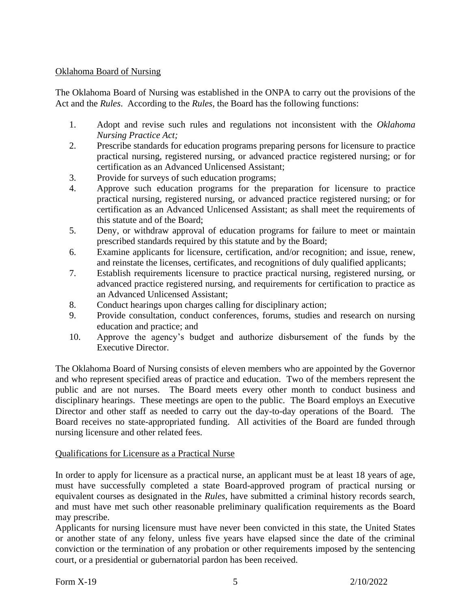## Oklahoma Board of Nursing

The Oklahoma Board of Nursing was established in the ONPA to carry out the provisions of the Act and the *Rules*. According to the *Rules*, the Board has the following functions:

- 1. Adopt and revise such rules and regulations not inconsistent with the *Oklahoma Nursing Practice Act;*
- 2. Prescribe standards for education programs preparing persons for licensure to practice practical nursing, registered nursing, or advanced practice registered nursing; or for certification as an Advanced Unlicensed Assistant;
- 3. Provide for surveys of such education programs;
- 4. Approve such education programs for the preparation for licensure to practice practical nursing, registered nursing, or advanced practice registered nursing; or for certification as an Advanced Unlicensed Assistant; as shall meet the requirements of this statute and of the Board;
- 5. Deny, or withdraw approval of education programs for failure to meet or maintain prescribed standards required by this statute and by the Board;
- 6. Examine applicants for licensure, certification, and/or recognition; and issue, renew, and reinstate the licenses, certificates, and recognitions of duly qualified applicants;
- 7. Establish requirements licensure to practice practical nursing, registered nursing, or advanced practice registered nursing, and requirements for certification to practice as an Advanced Unlicensed Assistant;
- 8. Conduct hearings upon charges calling for disciplinary action;
- 9. Provide consultation, conduct conferences, forums, studies and research on nursing education and practice; and
- 10. Approve the agency's budget and authorize disbursement of the funds by the Executive Director.

The Oklahoma Board of Nursing consists of eleven members who are appointed by the Governor and who represent specified areas of practice and education. Two of the members represent the public and are not nurses. The Board meets every other month to conduct business and disciplinary hearings. These meetings are open to the public. The Board employs an Executive Director and other staff as needed to carry out the day-to-day operations of the Board. The Board receives no state-appropriated funding. All activities of the Board are funded through nursing licensure and other related fees.

# Qualifications for Licensure as a Practical Nurse

In order to apply for licensure as a practical nurse, an applicant must be at least 18 years of age, must have successfully completed a state Board-approved program of practical nursing or equivalent courses as designated in the *Rules*, have submitted a criminal history records search, and must have met such other reasonable preliminary qualification requirements as the Board may prescribe.

Applicants for nursing licensure must have never been convicted in this state, the United States or another state of any felony, unless five years have elapsed since the date of the criminal conviction or the termination of any probation or other requirements imposed by the sentencing court, or a presidential or gubernatorial pardon has been received.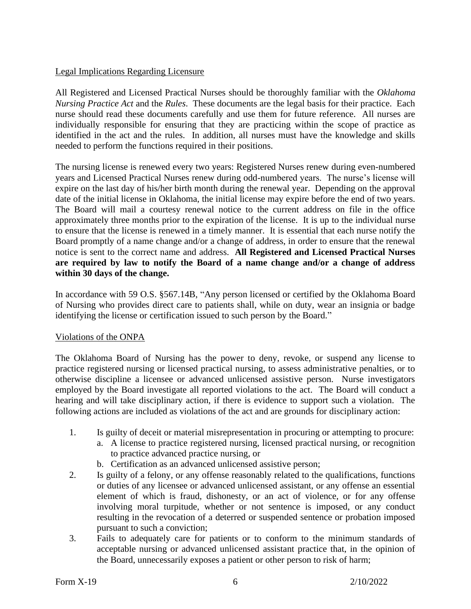# Legal Implications Regarding Licensure

All Registered and Licensed Practical Nurses should be thoroughly familiar with the *Oklahoma Nursing Practice Act* and the *Rules*. These documents are the legal basis for their practice. Each nurse should read these documents carefully and use them for future reference. All nurses are individually responsible for ensuring that they are practicing within the scope of practice as identified in the act and the rules. In addition, all nurses must have the knowledge and skills needed to perform the functions required in their positions.

The nursing license is renewed every two years: Registered Nurses renew during even-numbered years and Licensed Practical Nurses renew during odd-numbered years. The nurse's license will expire on the last day of his/her birth month during the renewal year. Depending on the approval date of the initial license in Oklahoma, the initial license may expire before the end of two years. The Board will mail a courtesy renewal notice to the current address on file in the office approximately three months prior to the expiration of the license. It is up to the individual nurse to ensure that the license is renewed in a timely manner. It is essential that each nurse notify the Board promptly of a name change and/or a change of address, in order to ensure that the renewal notice is sent to the correct name and address. **All Registered and Licensed Practical Nurses are required by law to notify the Board of a name change and/or a change of address within 30 days of the change.**

In accordance with 59 O.S. §567.14B, "Any person licensed or certified by the Oklahoma Board of Nursing who provides direct care to patients shall, while on duty, wear an insignia or badge identifying the license or certification issued to such person by the Board."

#### Violations of the ONPA

The Oklahoma Board of Nursing has the power to deny, revoke, or suspend any license to practice registered nursing or licensed practical nursing, to assess administrative penalties, or to otherwise discipline a licensee or advanced unlicensed assistive person. Nurse investigators employed by the Board investigate all reported violations to the act. The Board will conduct a hearing and will take disciplinary action, if there is evidence to support such a violation. The following actions are included as violations of the act and are grounds for disciplinary action:

- 1. Is guilty of deceit or material misrepresentation in procuring or attempting to procure:
	- a. A license to practice registered nursing, licensed practical nursing, or recognition to practice advanced practice nursing, or
	- b. Certification as an advanced unlicensed assistive person;
- 2. Is guilty of a felony, or any offense reasonably related to the qualifications, functions or duties of any licensee or advanced unlicensed assistant, or any offense an essential element of which is fraud, dishonesty, or an act of violence, or for any offense involving moral turpitude, whether or not sentence is imposed, or any conduct resulting in the revocation of a deterred or suspended sentence or probation imposed pursuant to such a conviction;
- 3. Fails to adequately care for patients or to conform to the minimum standards of acceptable nursing or advanced unlicensed assistant practice that, in the opinion of the Board, unnecessarily exposes a patient or other person to risk of harm;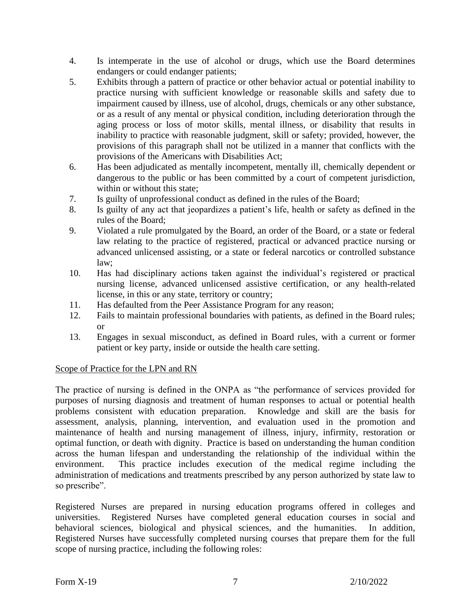- 4. Is intemperate in the use of alcohol or drugs, which use the Board determines endangers or could endanger patients;
- 5. Exhibits through a pattern of practice or other behavior actual or potential inability to practice nursing with sufficient knowledge or reasonable skills and safety due to impairment caused by illness, use of alcohol, drugs, chemicals or any other substance, or as a result of any mental or physical condition, including deterioration through the aging process or loss of motor skills, mental illness, or disability that results in inability to practice with reasonable judgment, skill or safety; provided, however, the provisions of this paragraph shall not be utilized in a manner that conflicts with the provisions of the Americans with Disabilities Act;
- 6. Has been adjudicated as mentally incompetent, mentally ill, chemically dependent or dangerous to the public or has been committed by a court of competent jurisdiction, within or without this state;
- 7. Is guilty of unprofessional conduct as defined in the rules of the Board;
- 8. Is guilty of any act that jeopardizes a patient's life, health or safety as defined in the rules of the Board;
- 9. Violated a rule promulgated by the Board, an order of the Board, or a state or federal law relating to the practice of registered, practical or advanced practice nursing or advanced unlicensed assisting, or a state or federal narcotics or controlled substance law;
- 10. Has had disciplinary actions taken against the individual's registered or practical nursing license, advanced unlicensed assistive certification, or any health-related license, in this or any state, territory or country;
- 11. Has defaulted from the Peer Assistance Program for any reason;
- 12. Fails to maintain professional boundaries with patients, as defined in the Board rules; or
- 13. Engages in sexual misconduct, as defined in Board rules, with a current or former patient or key party, inside or outside the health care setting.

# Scope of Practice for the LPN and RN

The practice of nursing is defined in the ONPA as "the performance of services provided for purposes of nursing diagnosis and treatment of human responses to actual or potential health problems consistent with education preparation. Knowledge and skill are the basis for assessment, analysis, planning, intervention, and evaluation used in the promotion and maintenance of health and nursing management of illness, injury, infirmity, restoration or optimal function, or death with dignity. Practice is based on understanding the human condition across the human lifespan and understanding the relationship of the individual within the environment. This practice includes execution of the medical regime including the administration of medications and treatments prescribed by any person authorized by state law to so prescribe".

Registered Nurses are prepared in nursing education programs offered in colleges and universities. Registered Nurses have completed general education courses in social and behavioral sciences, biological and physical sciences, and the humanities. In addition, Registered Nurses have successfully completed nursing courses that prepare them for the full scope of nursing practice, including the following roles: